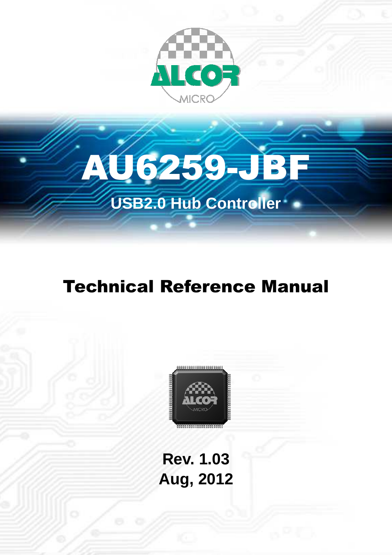



## **Technical Reference Manual**



**Rev. 1.03 Aug, 2012**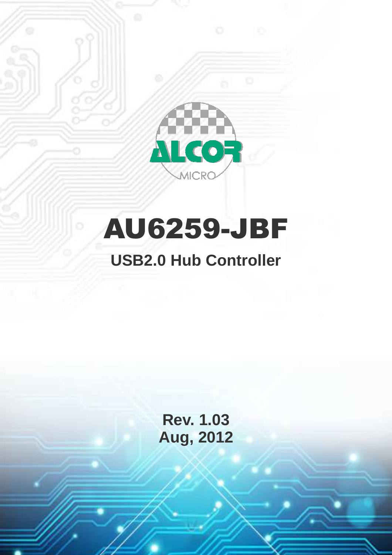

# AU6259-JBF

### **USB2.0 Hub Controller**

**Rev. 1.03 Aug, 2012**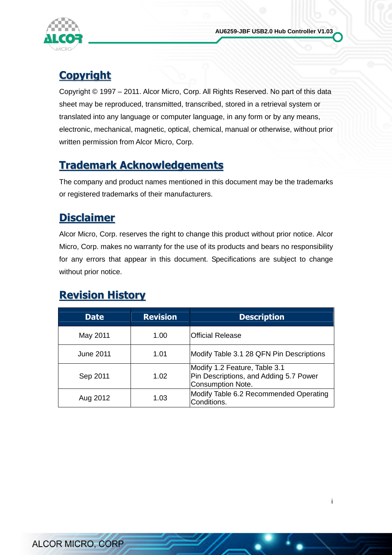

### **Copyright**

Copyright © 1997 – 2011. Alcor Micro, Corp. All Rights Reserved. No part of this data sheet may be reproduced, transmitted, transcribed, stored in a retrieval system or translated into any language or computer language, in any form or by any means, electronic, mechanical, magnetic, optical, chemical, manual or otherwise, without prior written permission from Alcor Micro, Corp.

#### Trademark Acknowledgements

The company and product names mentioned in this document may be the trademarks or registered trademarks of their manufacturers.

#### **Disclaimer**

Alcor Micro, Corp. reserves the right to change this product without prior notice. Alcor Micro, Corp. makes no warranty for the use of its products and bears no responsibility for any errors that appear in this document. Specifications are subject to change without prior notice.

### Revision History

| <b>Date</b>      | <b>Revision</b> | <b>Description</b>                                                                                  |
|------------------|-----------------|-----------------------------------------------------------------------------------------------------|
| May 2011         | 1.00            | <b>Official Release</b>                                                                             |
| <b>June 2011</b> | 1.01            | Modify Table 3.1 28 QFN Pin Descriptions                                                            |
| Sep 2011         | 1.02            | Modify 1.2 Feature, Table 3.1<br>Pin Descriptions, and Adding 5.7 Power<br><b>Consumption Note.</b> |
| Aug 2012         | 1.03            | Modify Table 6.2 Recommended Operating<br>Conditions.                                               |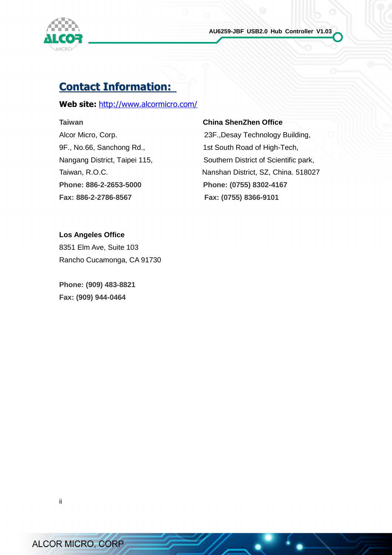

#### Contact Information:

#### Web site: http://www.alcormicro.com/

**Phone: 886-2-2653-5000 Phone: (0755) 8302-4167 Fax: 886-2-2786-8567 Fax: (0755) 8366-9101** 

#### **Taiwan China ShenZhen Office**

Alcor Micro, Corp. 23F.,Desay Technology Building, 9F., No.66, Sanchong Rd., 1st South Road of High-Tech, Nangang District, Taipei 115, Southern District of Scientific park, Taiwan, R.O.C. **Nanshan District, SZ, China. 518027** 

**Los Angeles Office**  8351 Elm Ave, Suite 103 Rancho Cucamonga, CA 91730

**Phone: (909) 483-8821 Fax: (909) 944-0464**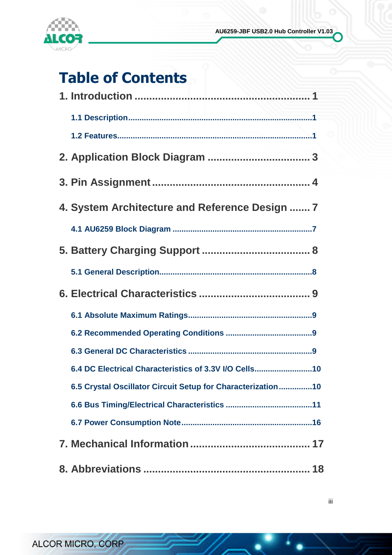

### Table of Contents

| 4. System Architecture and Reference Design  7 |                                                             |
|------------------------------------------------|-------------------------------------------------------------|
|                                                |                                                             |
|                                                |                                                             |
|                                                |                                                             |
|                                                |                                                             |
|                                                |                                                             |
|                                                |                                                             |
|                                                |                                                             |
|                                                | 6.4 DC Electrical Characteristics of 3.3V I/O Cells10       |
|                                                | 6.5 Crystal Oscillator Circuit Setup for Characterization10 |
|                                                |                                                             |
|                                                |                                                             |
|                                                |                                                             |
|                                                |                                                             |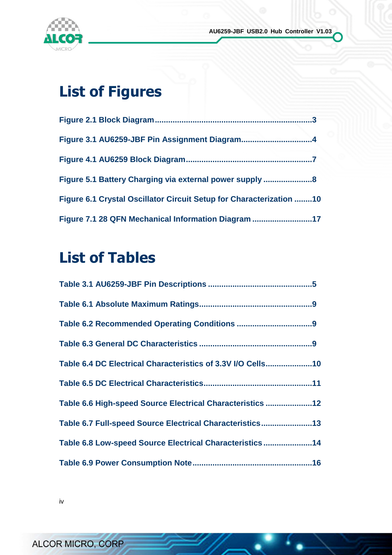

### List of Figures

| Figure 6.1 Crystal Oscillator Circuit Setup for Characterization 10 |  |
|---------------------------------------------------------------------|--|
| Figure 7.1 28 QFN Mechanical Information Diagram 17                 |  |

### List of Tables

| Table 6.4 DC Electrical Characteristics of 3.3V I/O Cells10 |  |
|-------------------------------------------------------------|--|
|                                                             |  |
| Table 6.6 High-speed Source Electrical Characteristics 12   |  |
| Table 6.7 Full-speed Source Electrical Characteristics13    |  |
| Table 6.8 Low-speed Source Electrical Characteristics 14    |  |
|                                                             |  |

iv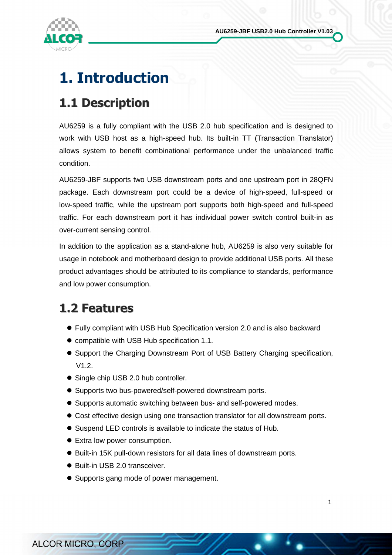

### 1. Introduction

### 1.1 Description

AU6259 is a fully compliant with the USB 2.0 hub specification and is designed to work with USB host as a high-speed hub. Its built-in TT (Transaction Translator) allows system to benefit combinational performance under the unbalanced traffic condition.

AU6259-JBF supports two USB downstream ports and one upstream port in 28QFN package. Each downstream port could be a device of high-speed, full-speed or low-speed traffic, while the upstream port supports both high-speed and full-speed traffic. For each downstream port it has individual power switch control built-in as over-current sensing control.

In addition to the application as a stand-alone hub, AU6259 is also very suitable for usage in notebook and motherboard design to provide additional USB ports. All these product advantages should be attributed to its compliance to standards, performance and low power consumption.

### 1.2 Features

- Fully compliant with USB Hub Specification version 2.0 and is also backward
- compatible with USB Hub specification 1.1.
- Support the Charging Downstream Port of USB Battery Charging specification, V1.2.
- Single chip USB 2.0 hub controller.
- Supports two bus-powered/self-powered downstream ports.
- Supports automatic switching between bus- and self-powered modes.
- Cost effective design using one transaction translator for all downstream ports.
- Suspend LED controls is available to indicate the status of Hub.
- Extra low power consumption.
- Built-in 15K pull-down resistors for all data lines of downstream ports.
- Built-in USB 2.0 transceiver.
- Supports gang mode of power management.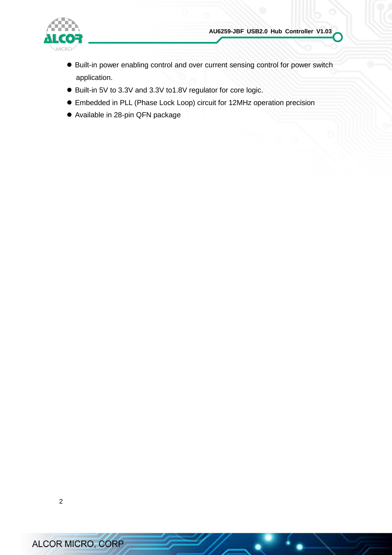

- Built-in power enabling control and over current sensing control for power switch application.
- Built-in 5V to 3.3V and 3.3V to1.8V regulator for core logic.
- Embedded in PLL (Phase Lock Loop) circuit for 12MHz operation precision
- Available in 28-pin QFN package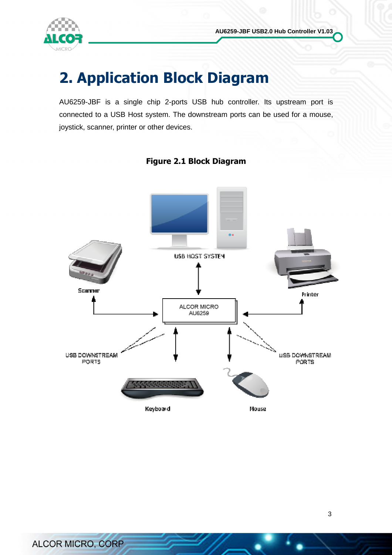

### 2. Application Block Diagram

AU6259-JBF is a single chip 2-ports USB hub controller. Its upstream port is connected to a USB Host system. The downstream ports can be used for a mouse, joystick, scanner, printer or other devices.



#### Figure 2.1 Block Diagram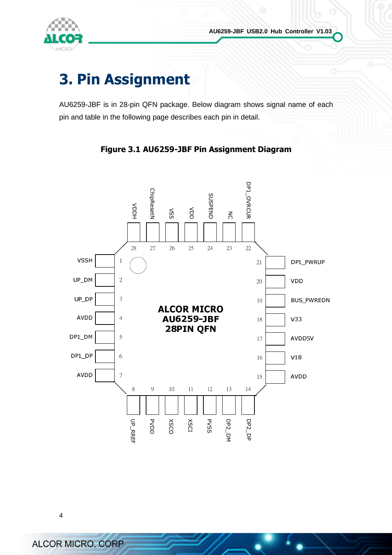

### 3. Pin Assignment

AU6259-JBF is in 28-pin QFN package. Below diagram shows signal name of each pin and table in the following page describes each pin in detail.



#### Figure 3.1 AU6259-JBF Pin Assignment Diagram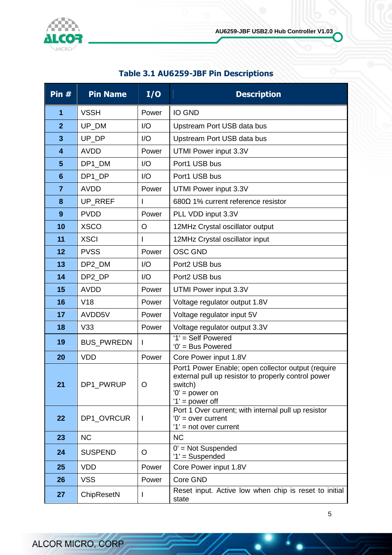

#### Table 3.1 AU6259-JBF Pin Descriptions

| Pin $#$                 | <b>Pin Name</b>   | I/O     | <b>Description</b>                                                                                                                                            |
|-------------------------|-------------------|---------|---------------------------------------------------------------------------------------------------------------------------------------------------------------|
| $\mathbf{1}$            | <b>VSSH</b>       | Power   | <b>IO GND</b>                                                                                                                                                 |
| $\overline{2}$          | UP_DM             | I/O     | Upstream Port USB data bus                                                                                                                                    |
| $\overline{\mathbf{3}}$ | UP_DP             | I/O     | Upstream Port USB data bus                                                                                                                                    |
| $\overline{\mathbf{4}}$ | <b>AVDD</b>       | Power   | UTMI Power input 3.3V                                                                                                                                         |
| 5                       | DP1_DM            | I/O     | Port1 USB bus                                                                                                                                                 |
| $6\phantom{1}$          | DP1_DP            | 1/O     | Port1 USB bus                                                                                                                                                 |
| $\overline{7}$          | <b>AVDD</b>       | Power   | UTMI Power input 3.3V                                                                                                                                         |
| 8                       | UP_RREF           |         | 680 $\Omega$ 1% current reference resistor                                                                                                                    |
| 9                       | <b>PVDD</b>       | Power   | PLL VDD input 3.3V                                                                                                                                            |
| 10                      | <b>XSCO</b>       | O       | 12MHz Crystal oscillator output                                                                                                                               |
| 11                      | <b>XSCI</b>       |         | 12MHz Crystal oscillator input                                                                                                                                |
| 12                      | <b>PVSS</b>       | Power   | <b>OSC GND</b>                                                                                                                                                |
| 13                      | DP2_DM            | I/O     | Port2 USB bus                                                                                                                                                 |
| 14                      | DP2_DP            | I/O     | Port2 USB bus                                                                                                                                                 |
| 15                      | <b>AVDD</b>       | Power   | UTMI Power input 3.3V                                                                                                                                         |
| 16                      | V18               | Power   | Voltage regulator output 1.8V                                                                                                                                 |
| 17                      | AVDD5V            | Power   | Voltage regulator input 5V                                                                                                                                    |
| 18                      | V33               | Power   | Voltage regulator output 3.3V                                                                                                                                 |
| 19                      | <b>BUS_PWREDN</b> | L       | '1' = Self Powered<br>$'0'$ = Bus Powered                                                                                                                     |
| 20                      | <b>VDD</b>        | Power   | Core Power input 1.8V                                                                                                                                         |
| 21                      | DP1_PWRUP         | $\circ$ | Port1 Power Enable; open collector output (require<br>external pull up resistor to properly control power<br>switch)<br>$'0'$ = power on<br>$'1'$ = power off |
| 22                      | DP1 OVRCUR        | L       | Port 1 Over current; with internal pull up resistor<br>$'0'$ = over current<br>$'1'$ = not over current                                                       |
| 23                      | <b>NC</b>         |         | <b>NC</b>                                                                                                                                                     |
| 24                      | <b>SUSPEND</b>    | O       | $0'$ = Not Suspended<br>'1' = Suspended                                                                                                                       |
| 25                      | <b>VDD</b>        | Power   | Core Power input 1.8V                                                                                                                                         |
| 26                      | <b>VSS</b>        | Power   | Core GND                                                                                                                                                      |
| 27                      | ChipResetN        |         | Reset input. Active low when chip is reset to initial<br>state                                                                                                |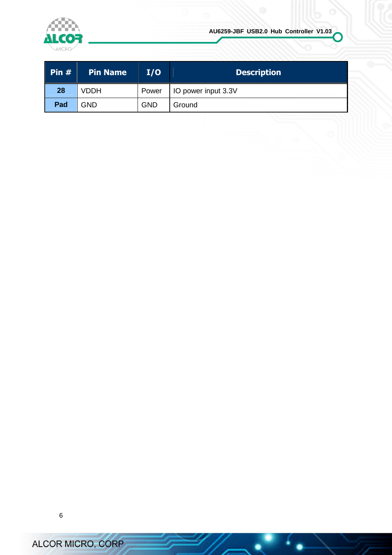

| $\blacksquare$ Pin # | <b>Pin Name</b> | I/O        | <b>Description</b>  |
|----------------------|-----------------|------------|---------------------|
| 28                   | <b>VDDH</b>     | Power      | IO power input 3.3V |
| Pad                  | GND             | <b>GND</b> | Ground              |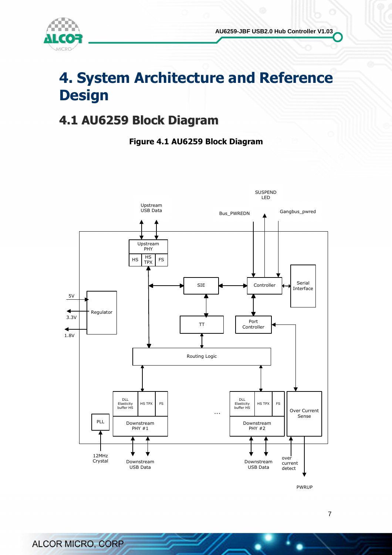



### 4. System Architecture and Reference **Design**

### 4.1 AU6259 Block Diagram

#### Figure 4.1 AU6259 Block Diagram



PWRUP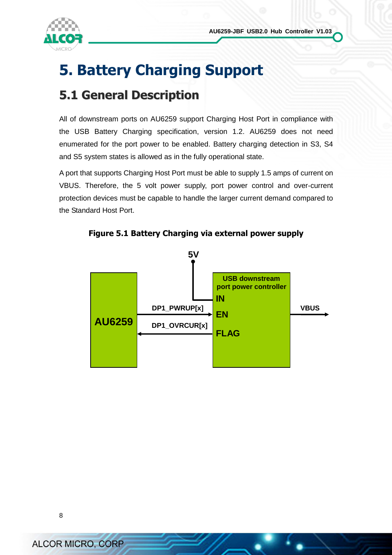

### 5. Battery Charging Support

### 5.1 General Description

All of downstream ports on AU6259 support Charging Host Port in compliance with the USB Battery Charging specification, version 1.2. AU6259 does not need enumerated for the port power to be enabled. Battery charging detection in S3, S4 and S5 system states is allowed as in the fully operational state.

A port that supports Charging Host Port must be able to supply 1.5 amps of current on VBUS. Therefore, the 5 volt power supply, port power control and over-current protection devices must be capable to handle the larger current demand compared to the Standard Host Port.



Figure 5.1 Battery Charging via external power supply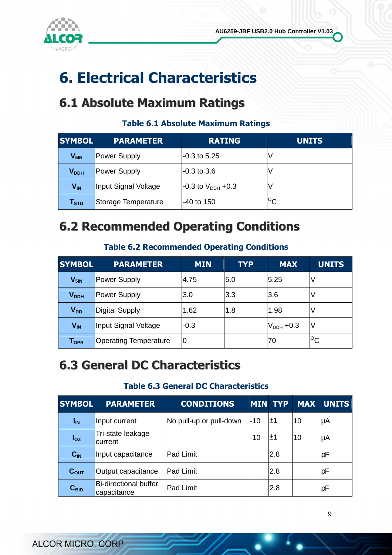

### 6. Electrical Characteristics

### 6.1 Absolute Maximum Ratings

#### Table 6.1 Absolute Maximum Ratings

| <b>SYMBOL</b>               | <b>PARAMETER</b>     | <b>RATING</b>            | <b>UNITS</b>    |
|-----------------------------|----------------------|--------------------------|-----------------|
| $V_{5iN}$                   | Power Supply         | -0.3 to 5.25             |                 |
| $\mathsf{V}_{\mathsf{DDH}}$ | Power Supply         | $-0.3$ to $3.6$          |                 |
| $V_{IN}$                    | Input Signal Voltage | $-0.3$ to $V_{DDH}$ +0.3 |                 |
| $\mathsf{T}_{\texttt{STG}}$ | Storage Temperature  | $-40$ to 150             | $\rm ^{\circ}c$ |

### 6.2 Recommended Operating Conditions

#### Table 6.2 Recommended Operating Conditions

| <b>SYMBOL</b>                | <b>PARAMETER</b>             | <b>MIN</b> | <b>TYP</b> | <b>MAX</b>     | <b>UNITS</b> |
|------------------------------|------------------------------|------------|------------|----------------|--------------|
| $V_{5iN}$                    | Power Supply                 | 4.75       | 5.0        | 5.25           | ν            |
| V <sub>DDH</sub>             | Power Supply                 | 3.0        | 3.3        | 3.6            | ν            |
| <b>V<sub>DD</sub></b>        | Digital Supply               | 1.62       | 1.8        | 1.98           | ν            |
| $V_{IN}$                     | Input Signal Voltage         | $-0.3$     |            | $V_{DDH}$ +0.3 | IV           |
| ${\mathsf T}_{\textsf{OPR}}$ | <b>Operating Temperature</b> | 0          |            | 70             | $^{\circ}$ C |

### 6.3 General DC Characteristics

#### Table 6.3 General DC Characteristics

| <b>SYMBOL</b>    | <b>PARAMETER</b>                            | <b>CONDITIONS</b>       |     | <b>MIN TYP</b> | <b>MAX</b> | <b>UNITS</b> |
|------------------|---------------------------------------------|-------------------------|-----|----------------|------------|--------------|
| $I_{IN}$         | Input current                               | No pull-up or pull-down | -10 | ±1             | 10         | μA           |
| $I_{OZ}$         | Tri-state leakage<br>current                |                         | -10 | ±1             | 10         | μA           |
| $C_{IN}$         | Input capacitance                           | <b>Pad Limit</b>        |     | 2.8            |            | ρF           |
| $C_{\text{OUT}}$ | Output capacitance                          | <b>Pad Limit</b>        |     | 2.8            |            | ρF           |
| $C_{\text{BID}}$ | <b>Bi-directional buffer</b><br>capacitance | <b>Pad Limit</b>        |     | 2.8            |            | ρF           |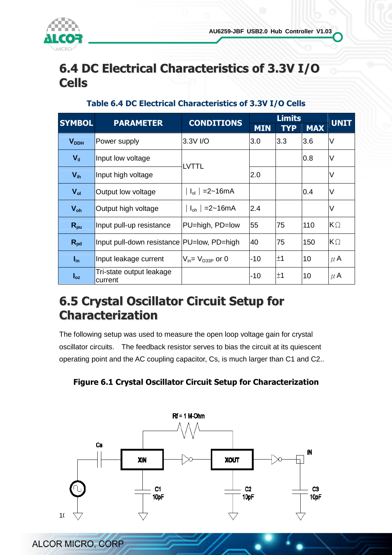

### 6.4 DC Electrical Characteristics of 3.3V I/O Cells

| <b>SYMBOL</b>   | <b>PARAMETER</b>                           | <b>CONDITIONS</b>                      | <b>Limits</b> |            |            | <b>UNIT</b> |
|-----------------|--------------------------------------------|----------------------------------------|---------------|------------|------------|-------------|
|                 |                                            |                                        | <b>MIN</b>    | <b>TYP</b> | <b>MAX</b> |             |
| $V_{DDH}$       | Power supply                               | 3.3V I/O                               | 3.0           | 3.3        | 3.6        | lV          |
| $V_{\rm{ii}}$   | Input low voltage                          | LVTTL                                  |               |            | 0.8        | lV          |
| $V_{ih}$        | Input high voltage                         |                                        | 2.0           |            |            | lV          |
| $V_{ol}$        | Output low voltage                         | $I_{ol}$ = 2~16 mA                     |               |            | 0.4        | V           |
| $V_{oh}$        | Output high voltage                        | $I_{\rm oh}$ = 2~16 mA                 | 2.4           |            |            | ΙV          |
| $R_{\text{pu}}$ | Input pull-up resistance                   | PU=high, PD=low                        | 55            | 75         | 110        | $K\Omega$   |
| $R_{pd}$        | Input pull-down resistance PU=low, PD=high |                                        | 40            | 75         | 150        | $K\Omega$   |
| $I_{in}$        | Input leakage current                      | $V_{\text{in}} = V_{\text{D33P}}$ or 0 | $-10$         | ±1         | 10         | $\mu$ A     |
| $I_{oz}$        | Tri-state output leakage<br>current        |                                        | $-10$         | ±1         | 10         | $\mu$ A     |

#### Table 6.4 DC Electrical Characteristics of 3.3V I/O Cells

### 6.5 Crystal Oscillator Circuit Setup for Characterization

The following setup was used to measure the open loop voltage gain for crystal oscillator circuits. The feedback resistor serves to bias the circuit at its quiescent operating point and the AC coupling capacitor, Cs, is much larger than C1 and C2..

Figure 6.1 Crystal Oscillator Circuit Setup for Characterization

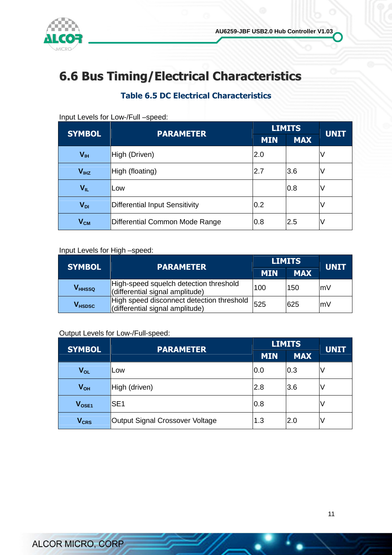

### 6.6 Bus Timing/Electrical Characteristics

#### Table 6.5 DC Electrical Characteristics

| <b>SYMBOL</b>    | <b>PARAMETER</b>                      | <b>LIMITS</b> | <b>UNIT</b> |   |
|------------------|---------------------------------------|---------------|-------------|---|
|                  |                                       | <b>MIN</b>    | <b>MAX</b>  |   |
| V <sub>III</sub> | High (Driven)                         | 2.0           |             |   |
| $V_{I HZ}$       | High (floating)                       | 2.7           | 3.6         | ν |
| VIL              | Low                                   |               | 0.8         |   |
| $V_{DI}$         | <b>Differential Input Sensitivity</b> | 0.2           |             | v |
| $V_{CM}$         | Differential Common Mode Range        | 0.8           | 2.5         | V |

#### Input Levels for Low-/Full –speed:

#### Input Levels for High –speed:

| <b>SYMBOL</b>             | <b>PARAMETER</b>                                                             | <b>LIMITS</b> | <b>UNIT</b> |    |
|---------------------------|------------------------------------------------------------------------------|---------------|-------------|----|
|                           |                                                                              | <b>MIN</b>    | <b>MAX</b>  |    |
| <b>V</b> <sub>HHSSQ</sub> | High-speed squelch detection threshold<br>(differential signal amplitude)    | 100           | 150         | mV |
| <b>V</b> <sub>HSDSC</sub> | High speed disconnect detection threshold<br>(differential signal amplitude) | 525           | 625         | mV |

#### Output Levels for Low-/Full-speed:

| <b>SYMBOL</b>          | <b>PARAMETER</b>                | <b>LIMITS</b><br><b>MIN</b><br><b>MAX</b> | <b>UNIT</b> |  |
|------------------------|---------------------------------|-------------------------------------------|-------------|--|
|                        |                                 |                                           |             |  |
| <b>V<sub>OL</sub></b>  | Low                             | 0.0                                       | 0.3         |  |
| $V_{OH}$               | High (driven)                   | 2.8                                       | 3.6         |  |
| V <sub>OSE1</sub>      | SE <sub>1</sub>                 | 0.8                                       |             |  |
| <b>V<sub>CRS</sub></b> | Output Signal Crossover Voltage | 1.3                                       | 2.0         |  |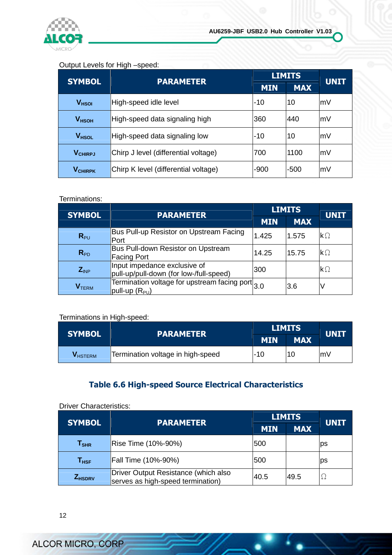

#### Output Levels for High –speed:

| <b>SYMBOL</b>     | <b>PARAMETER</b>                     |            | <b>LIMITS</b> | <b>UNIT</b> |
|-------------------|--------------------------------------|------------|---------------|-------------|
|                   |                                      | <b>MIN</b> | <b>MAX</b>    |             |
| V <sub>HSOI</sub> | High-speed idle level                | -10        | 10            | mV          |
| V <sub>HSOH</sub> | High-speed data signaling high       | 360        | 440           | mV          |
| V <sub>HSOL</sub> | High-speed data signaling low        | $-10$      | 10            | lmV         |
| <b>VCHIRPJ</b>    | Chirp J level (differential voltage) | 700        | 1100          | lmV         |
| <b>VCHIRPK</b>    | Chirp K level (differential voltage) | $-900$     | $-500$        | mV          |

#### Terminations:

| <b>SYMBOL</b>            | <b>PARAMETER</b>                                                             | <b>LIMITS</b> |            | <b>UNIT</b>          |
|--------------------------|------------------------------------------------------------------------------|---------------|------------|----------------------|
|                          |                                                                              | <b>MIN</b>    | <b>MAX</b> |                      |
| $R_{PU}$                 | Bus Pull-up Resistor on Upstream Facing<br>Port                              | 1.425         | 1.575      | $\mathsf{k}\Omega$   |
| $R_{PD}$                 | Bus Pull-down Resistor on Upstream<br><b>Facing Port</b>                     | 14.25         | 15.75      | $\mathsf{k}\Omega$   |
| $Z_{INP}$                | Input impedance exclusive of<br>pull-up/pull-down (for low-/full-speed)      | 300           |            | $\mathsf{k}\,\Omega$ |
| <b>V</b> <sub>TERM</sub> | Termination voltage for upstream facing port 3.0<br>$ $ pull-up ( $R_{PU}$ ) |               | 3.6        |                      |

#### Terminations in High-speed:

| <b>SYMBOL</b>   | <b>PARAMETER</b>                  |                          | <b>LIMITS</b> | <b>UNIT</b> |
|-----------------|-----------------------------------|--------------------------|---------------|-------------|
|                 |                                   | <b>MIN</b><br><b>MAX</b> |               |             |
| <b>V</b> HSTERM | Termination voltage in high-speed | l-10                     | 10            | mV          |

#### Table 6.6 High-speed Source Electrical Characteristics

#### Driver Characteristics:

| <b>SYMBOL</b>                | <b>PARAMETER</b>                                                          |            | <b>LIMITS</b> | <b>UNIT</b> |
|------------------------------|---------------------------------------------------------------------------|------------|---------------|-------------|
|                              |                                                                           | <b>MIN</b> | <b>MAX</b>    |             |
| ${\mathsf T}_{\textsf{SHR}}$ | Rise Time (10%-90%)                                                       | 500        |               | ps          |
| $\mathsf{T}_{\mathsf{HSF}}$  | Fall Time (10%-90%)                                                       | 500        |               | ps          |
| <b><i>Z</i>HSDRV</b>         | Driver Output Resistance (which also<br>serves as high-speed termination) | 40.5       | 49.5          |             |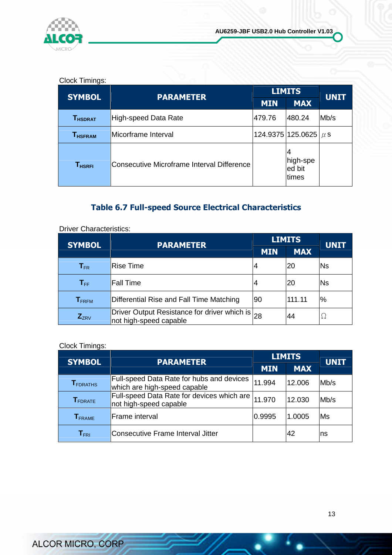

#### Clock Timings:

| <b>SYMBOL</b>                           |                                            | <b>LIMITS</b><br><b>PARAMETER</b> |                             | <b>UNIT</b> |
|-----------------------------------------|--------------------------------------------|-----------------------------------|-----------------------------|-------------|
|                                         |                                            | <b>MIN</b>                        | <b>MAX</b>                  |             |
| $\mathsf{T}_{\mathsf{HSDRAT}}$          | <b>High-speed Data Rate</b>                | 479.76                            | 480.24                      | Mb/s        |
| $\mathsf{T}_{\mathsf{H}\mathsf{SFRAM}}$ | lMicorframe Interval                       |                                   | 124.9375 125.0625 $\mu$ s   |             |
| <b>T<sub>HSRFI</sub></b>                | Consecutive Microframe Interval Difference |                                   | high-spe<br>ed bit<br>times |             |

#### Table 6.7 Full-speed Source Electrical Characteristics

| <b>SYMBOL</b>                | <b>PARAMETER</b>                                                          |            | <b>LIMITS</b> | <b>UNIT</b> |
|------------------------------|---------------------------------------------------------------------------|------------|---------------|-------------|
|                              |                                                                           | <b>MIN</b> | <b>MAX</b>    |             |
| $\mathsf{T}_{\mathsf{FR}}$   | <b>Rise Time</b>                                                          |            | 20            | <b>Ns</b>   |
| $\mathsf{T}_{\mathsf{FF}}$   | <b>Fall Time</b>                                                          |            | 20            | <b>Ns</b>   |
| $\mathbf{T}_{\mathsf{FRFM}}$ | Differential Rise and Fall Time Matching                                  | l90        | 111.11        | %           |
| $Z_{ZRV}$                    | Driver Output Resistance for driver which is 28<br>not high-speed capable |            | 44            | 7           |

Driver Characteristics:

#### Clock Timings:

|                                  |                                                                                  |            | <b>LIMITS</b> |             |
|----------------------------------|----------------------------------------------------------------------------------|------------|---------------|-------------|
| <b>SYMBOL</b>                    | <b>PARAMETER</b>                                                                 | <b>MIN</b> | <b>MAX</b>    | <b>UNIT</b> |
| ${\mathsf T}_{\mathsf{FDRATHS}}$ | <b>Full-speed Data Rate for hubs and devices</b><br>which are high-speed capable | 11.994     | 12.006        | Mb/s        |
| <b>T</b> FDRATE                  | Full-speed Data Rate for devices which are<br>not high-speed capable             | 11.970     | 12.030        | Mb/s        |
| <b>T</b> FRAME                   | <b>Frame</b> interval                                                            | 0.9995     | 1.0005        | Ms          |
| $\mathsf{T}_{\mathsf{FRI}}$      | Consecutive Frame Interval Jitter                                                |            | 42            | ns          |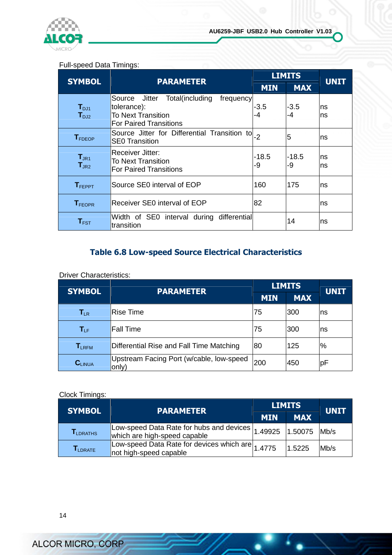

#### Full-speed Data Timings:

| <b>SYMBOL</b>                  | <b>PARAMETER</b>                                                                                                    | <b>LIMITS</b> | <b>UNIT</b> |             |
|--------------------------------|---------------------------------------------------------------------------------------------------------------------|---------------|-------------|-------------|
|                                |                                                                                                                     | <b>MIN</b>    | <b>MAX</b>  |             |
| $T_{\text{DJ1}}$<br>$T_{D,12}$ | Total(including frequency<br>Source<br>Jitter<br>tolerance):<br>To Next Transition<br><b>For Paired Transitions</b> | -3.5<br>-4    | -3.5<br>-4  | Ins.<br>Ins |
| <b>T</b> <sub>FDEOP</sub>      | Source Jitter for Differential Transition to  -2<br><b>SE0 Transition</b>                                           |               | 5           | ns          |
| $T_{JR1}$<br>$T_{JR2}$         | <b>Receiver Jitter:</b><br>To Next Transition<br><b>For Paired Transitions</b>                                      | -18.5<br>-9   | -18.5<br>-9 | Ins<br>Ins  |
| $T_{FEPPT}$                    | Source SE0 interval of EOP                                                                                          | 160           | 175         | ns          |
| <b>T</b> FEOPR                 | Receiver SE0 interval of EOP                                                                                        | 82            |             | ns          |
| $T_{\texttt{FST}}$             | Width of SE0 interval during differential<br>transition                                                             |               | 14          | Ins         |

#### Table 6.8 Low-speed Source Electrical Characteristics

#### **Driver Characteristics:**

| <b>SYMBOL</b> | <b>PARAMETER</b>                                  |            | <b>LIMITS</b> | <b>UNIT</b> |
|---------------|---------------------------------------------------|------------|---------------|-------------|
|               |                                                   | <b>MIN</b> | <b>MAX</b>    |             |
| $T_{LR}$      | Rise Time                                         | 75         | 300           | ns          |
| $T_{LF}$      | Fall Time                                         | 75         | 300           | ns          |
| $T_{LRFM}$    | Differential Rise and Fall Time Matching          | 80         | 125           | $\%$        |
| $C_{LINUA}$   | Upstream Facing Port (w/cable, low-speed<br>only) | 200        | 450           | рF          |

#### Clock Timings:

| <b>SYMBOL</b>                  | <b>PARAMETER</b>                                                                              |            | <b>LIMITS</b> |             |
|--------------------------------|-----------------------------------------------------------------------------------------------|------------|---------------|-------------|
|                                |                                                                                               | <b>MIN</b> | <b>MAX</b>    | <b>UNIT</b> |
| <b>LDRATHS</b>                 | Low-speed Data Rate for hubs and devices 1.49925 1.50075 Mb/s<br>which are high-speed capable |            |               |             |
| $\mathsf{T}_{\mathsf{LDRATE}}$ | Low-speed Data Rate for devices which are 1.4775<br>not high-speed capable                    |            | 1.5225        | Mb/s        |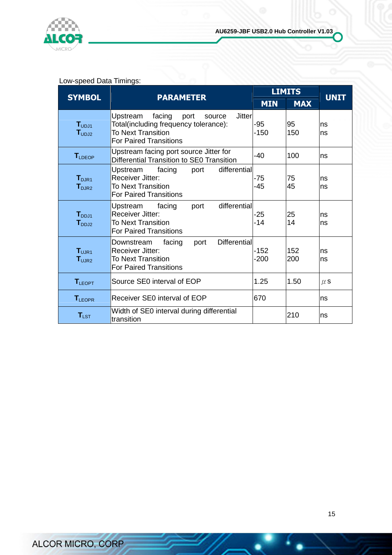

#### Low-speed Data Timings:

|                                                              |                                                                                                                                                       |                  | <b>LIMITS</b> |             |
|--------------------------------------------------------------|-------------------------------------------------------------------------------------------------------------------------------------------------------|------------------|---------------|-------------|
| <b>SYMBOL</b>                                                | <b>PARAMETER</b>                                                                                                                                      | <b>MIN</b>       | <b>MAX</b>    | <b>UNIT</b> |
| $\mathbf{T}_{\mathsf{UDJ1}}$<br>$\mathsf{T}_{\sf UDL12}$     | Upstream<br><b>Jitter</b><br>facing<br>port<br>source<br>Total(including frequency tolerance):<br>To Next Transition<br><b>For Paired Transitions</b> | -95<br>$-150$    | 95<br>150     | ns<br>ns    |
| $T_{\perp$ DEOP                                              | Upstream facing port source Jitter for<br>Differential Transition to SE0 Transition                                                                   | -40              | 100           | ns          |
| $\mathbf{T}_{\text{D,IR1}}$<br>$\textbf{T}_{\texttt{DJR2}}$  | differential<br>facing<br>Upstream<br>port<br>Receiver Jitter:<br><b>To Next Transition</b><br><b>For Paired Transitions</b>                          | -75<br>$-45$     | 75<br>45      | ns<br>ns    |
| $\textbf{T}_{\texttt{DDJ1}}$<br>$\mathsf{T}_{\texttt{DDJ2}}$ | differential<br>Upstream facing<br>port<br>Receiver Jitter:<br><b>To Next Transition</b><br><b>For Paired Transitions</b>                             | $-25$<br>$-14$   | 25<br>14      | ns<br>ns    |
| $T_{U,IR1}$<br>$\mathsf{T}_{\mathsf{UJR2}}$                  | <b>Differential</b><br>facing<br>port<br>Downstream<br><b>Receiver Jitter:</b><br><b>To Next Transition</b><br><b>For Paired Transitions</b>          | $-152$<br>$-200$ | 152<br>200    | ns<br>ns    |
| $T_{LEOPT}$                                                  | Source SE0 interval of EOP                                                                                                                            | 1.25             | 1.50          | $\mu$ S     |
| <b>TLEOPR</b>                                                | Receiver SE0 interval of EOP                                                                                                                          | 670              |               | ns          |
| $T_{LST}$                                                    | Width of SE0 interval during differential<br>transition                                                                                               |                  | 210           | ns          |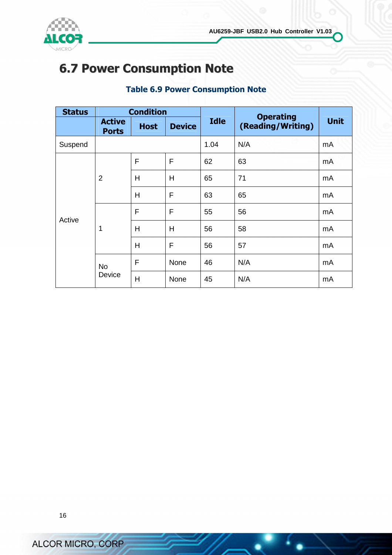

### 6.7 Power Consumption Note

#### Table 6.9 Power Consumption Note

| <b>Status</b> | <b>Condition</b>              |             |               |             | <b>Operating</b>  |             |
|---------------|-------------------------------|-------------|---------------|-------------|-------------------|-------------|
|               | <b>Active</b><br><b>Ports</b> | <b>Host</b> | <b>Device</b> | <b>Idle</b> | (Reading/Writing) | <b>Unit</b> |
| Suspend       |                               |             |               | 1.04        | N/A               | mA          |
| Active        | $\overline{2}$                | F           | F             | 62          | 63                | mA          |
|               |                               | Н           | H             | 65          | 71                | mA          |
|               |                               | H           | F             | 63          | 65                | mA          |
|               | 1                             | F           | F             | 55          | 56                | mA          |
|               |                               | H           | H             | 56          | 58                | mA          |
|               |                               | H           | F             | 56          | 57                | mA          |
|               | <b>No</b><br>Device           | F           | None          | 46          | N/A               | mA          |
|               |                               | Η           | None          | 45          | N/A               | mA          |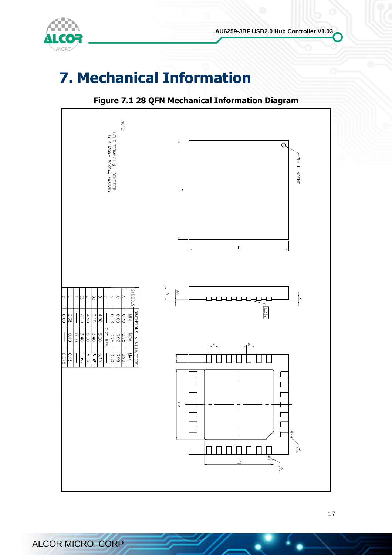



### 7. Mechanical Information



#### Figure 7.1 28 QFN Mechanical Information Diagram